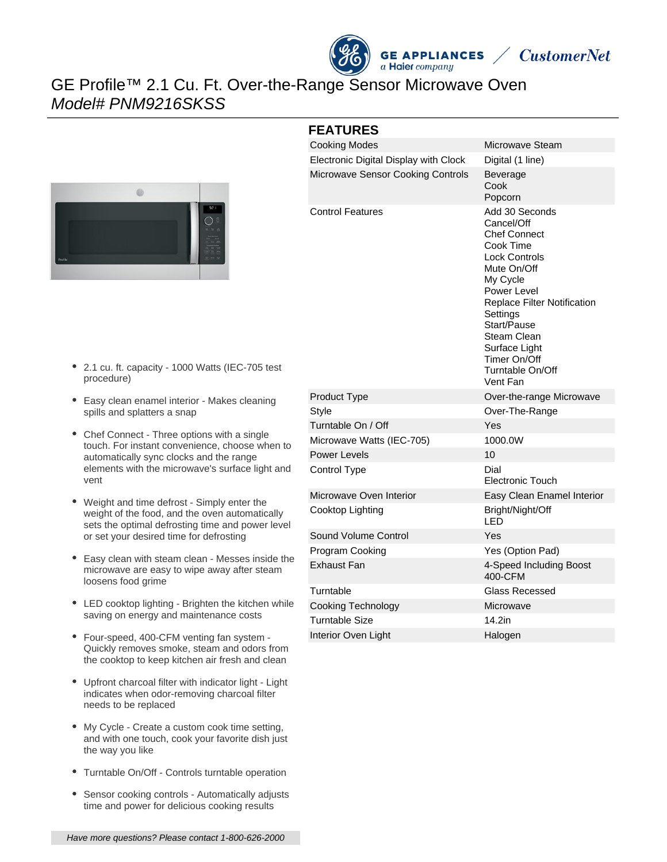



## GE Profile™ 2.1 Cu. Ft. Over-the-Range Sensor Microwave Oven Model# PNM9216SKSS



### **FEATURES**

| <b>Cooking Modes</b>                  | Microwave Steam                                                                                                                                                                                                                                                              |
|---------------------------------------|------------------------------------------------------------------------------------------------------------------------------------------------------------------------------------------------------------------------------------------------------------------------------|
| Electronic Digital Display with Clock | Digital (1 line)                                                                                                                                                                                                                                                             |
| Microwave Sensor Cooking Controls     | Beverage<br>Cook<br>Popcorn                                                                                                                                                                                                                                                  |
| <b>Control Features</b>               | Add 30 Seconds<br>Cancel/Off<br>Chef Connect<br>Cook Time<br><b>Lock Controls</b><br>Mute On/Off<br>My Cycle<br>Power Level<br><b>Replace Filter Notification</b><br>Settings<br>Start/Pause<br>Steam Clean<br>Surface Light<br>Timer On/Off<br>Turntable On/Off<br>Vent Fan |
| Product Type                          | Over-the-range Microwave                                                                                                                                                                                                                                                     |
| <b>Style</b>                          | Over-The-Range                                                                                                                                                                                                                                                               |
| Turntable On / Off                    | Yes                                                                                                                                                                                                                                                                          |
| Microwave Watts (IEC-705)             | 1000.0W                                                                                                                                                                                                                                                                      |
| Power Levels                          | 10                                                                                                                                                                                                                                                                           |
| Control Type                          | Dial<br><b>Electronic Touch</b>                                                                                                                                                                                                                                              |
| Microwave Oven Interior               | Easy Clean Enamel Interior                                                                                                                                                                                                                                                   |
| Cooktop Lighting                      | Bright/Night/Off<br>LED                                                                                                                                                                                                                                                      |
| Sound Volume Control                  | Yes                                                                                                                                                                                                                                                                          |
| Program Cooking                       | Yes (Option Pad)                                                                                                                                                                                                                                                             |
| Exhaust Fan                           | 4-Speed Including Boost<br>400-CFM                                                                                                                                                                                                                                           |
| Turntable                             | Glass Recessed                                                                                                                                                                                                                                                               |
| <b>Cooking Technology</b>             | Microwave                                                                                                                                                                                                                                                                    |
| <b>Turntable Size</b>                 | 14.2in                                                                                                                                                                                                                                                                       |
| Interior Oven Light                   | Halogen                                                                                                                                                                                                                                                                      |

- 2.1 cu. ft. capacity 1000 Watts (IEC-705 test procedure)
- Easy clean enamel interior Makes cleaning spills and splatters a snap
- Chef Connect Three options with a single touch. For instant convenience, choose when to automatically sync clocks and the range elements with the microwave's surface light and vent
- Weight and time defrost Simply enter the weight of the food, and the oven automatically sets the optimal defrosting time and power level or set your desired time for defrosting
- Easy clean with steam clean Messes inside the microwave are easy to wipe away after steam loosens food grime
- LED cooktop lighting Brighten the kitchen while saving on energy and maintenance costs
- Four-speed, 400-CFM venting fan system Quickly removes smoke, steam and odors from the cooktop to keep kitchen air fresh and clean
- Upfront charcoal filter with indicator light Light indicates when odor-removing charcoal filter needs to be replaced
- My Cycle Create a custom cook time setting, and with one touch, cook your favorite dish just the way you like
- Turntable On/Off Controls turntable operation
- $\bullet$ Sensor cooking controls - Automatically adjusts time and power for delicious cooking results